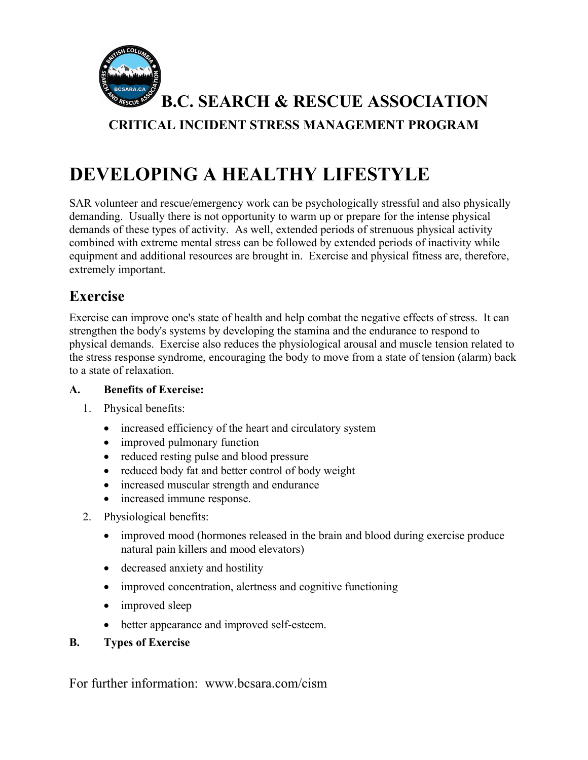

**B.C. SEARCH & RESCUE ASSOCIATION CRITICAL INCIDENT STRESS MANAGEMENT PROGRAM**

# **DEVELOPING A HEALTHY LIFESTYLE**

SAR volunteer and rescue/emergency work can be psychologically stressful and also physically demanding. Usually there is not opportunity to warm up or prepare for the intense physical demands of these types of activity. As well, extended periods of strenuous physical activity combined with extreme mental stress can be followed by extended periods of inactivity while equipment and additional resources are brought in. Exercise and physical fitness are, therefore, extremely important.

# **Exercise**

Exercise can improve one's state of health and help combat the negative effects of stress. It can strengthen the body's systems by developing the stamina and the endurance to respond to physical demands. Exercise also reduces the physiological arousal and muscle tension related to the stress response syndrome, encouraging the body to move from a state of tension (alarm) back to a state of relaxation.

#### **A. Benefits of Exercise:**

- 1. Physical benefits:
	- increased efficiency of the heart and circulatory system
	- improved pulmonary function
	- reduced resting pulse and blood pressure
	- reduced body fat and better control of body weight
	- increased muscular strength and endurance
	- increased immune response.
- 2. Physiological benefits:
	- improved mood (hormones released in the brain and blood during exercise produce natural pain killers and mood elevators)
	- decreased anxiety and hostility
	- improved concentration, alertness and cognitive functioning
	- improved sleep
	- better appearance and improved self-esteem.
- **B. Types of Exercise**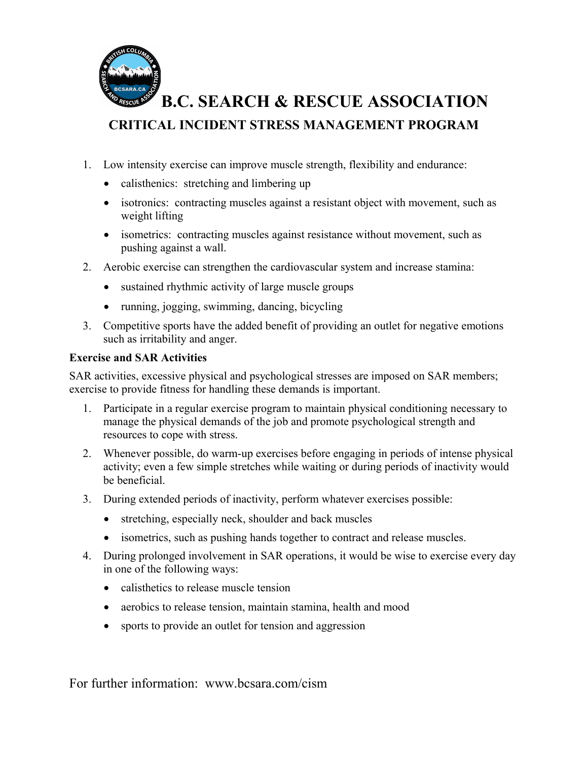

**B.C. SEARCH & RESCUE ASSOCIATION**

# **CRITICAL INCIDENT STRESS MANAGEMENT PROGRAM**

- 1. Low intensity exercise can improve muscle strength, flexibility and endurance:
	- calisthenics: stretching and limbering up
	- isotronics: contracting muscles against a resistant object with movement, such as weight lifting
	- isometrics: contracting muscles against resistance without movement, such as pushing against a wall.
- 2. Aerobic exercise can strengthen the cardiovascular system and increase stamina:
	- sustained rhythmic activity of large muscle groups
	- running, jogging, swimming, dancing, bicycling
- 3. Competitive sports have the added benefit of providing an outlet for negative emotions such as irritability and anger.

#### **Exercise and SAR Activities**

SAR activities, excessive physical and psychological stresses are imposed on SAR members; exercise to provide fitness for handling these demands is important.

- 1. Participate in a regular exercise program to maintain physical conditioning necessary to manage the physical demands of the job and promote psychological strength and resources to cope with stress.
- 2. Whenever possible, do warm-up exercises before engaging in periods of intense physical activity; even a few simple stretches while waiting or during periods of inactivity would be beneficial.
- 3. During extended periods of inactivity, perform whatever exercises possible:
	- stretching, especially neck, shoulder and back muscles
	- isometrics, such as pushing hands together to contract and release muscles.
- 4. During prolonged involvement in SAR operations, it would be wise to exercise every day in one of the following ways:
	- calisthetics to release muscle tension
	- aerobics to release tension, maintain stamina, health and mood
	- sports to provide an outlet for tension and aggression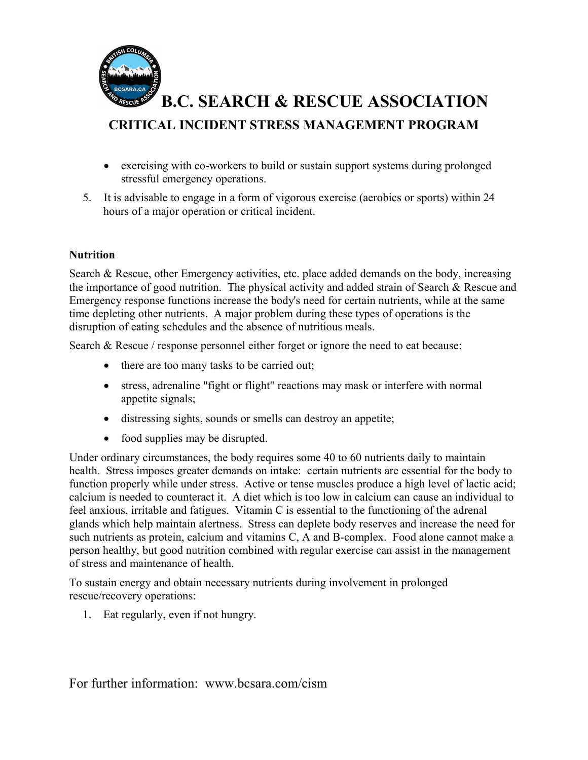

**B.C. SEARCH & RESCUE ASSOCIATION**

### **CRITICAL INCIDENT STRESS MANAGEMENT PROGRAM**

- exercising with co-workers to build or sustain support systems during prolonged stressful emergency operations.
- 5. It is advisable to engage in a form of vigorous exercise (aerobics or sports) within 24 hours of a major operation or critical incident.

#### **Nutrition**

Search & Rescue, other Emergency activities, etc. place added demands on the body, increasing the importance of good nutrition. The physical activity and added strain of Search & Rescue and Emergency response functions increase the body's need for certain nutrients, while at the same time depleting other nutrients. A major problem during these types of operations is the disruption of eating schedules and the absence of nutritious meals.

Search & Rescue / response personnel either forget or ignore the need to eat because:

- there are too many tasks to be carried out;
- stress, adrenaline "fight or flight" reactions may mask or interfere with normal appetite signals;
- distressing sights, sounds or smells can destroy an appetite;
- food supplies may be disrupted.

Under ordinary circumstances, the body requires some 40 to 60 nutrients daily to maintain health. Stress imposes greater demands on intake: certain nutrients are essential for the body to function properly while under stress. Active or tense muscles produce a high level of lactic acid; calcium is needed to counteract it. A diet which is too low in calcium can cause an individual to feel anxious, irritable and fatigues. Vitamin C is essential to the functioning of the adrenal glands which help maintain alertness. Stress can deplete body reserves and increase the need for such nutrients as protein, calcium and vitamins C, A and B-complex. Food alone cannot make a person healthy, but good nutrition combined with regular exercise can assist in the management of stress and maintenance of health.

To sustain energy and obtain necessary nutrients during involvement in prolonged rescue/recovery operations:

1. Eat regularly, even if not hungry.